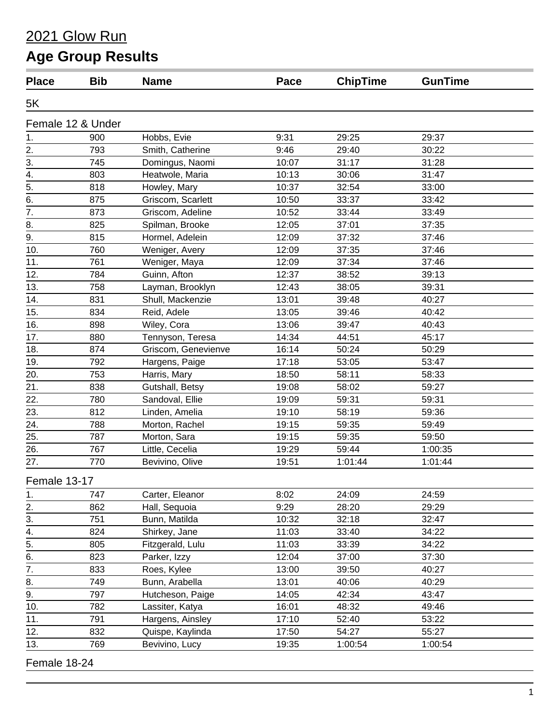#### 2021 Glow Run

# **Age Group Results**

| <b>Place</b>     | <b>Bib</b>        | <b>Name</b>         | Pace  | <b>ChipTime</b> | <b>GunTime</b> |
|------------------|-------------------|---------------------|-------|-----------------|----------------|
| 5K               |                   |                     |       |                 |                |
|                  | Female 12 & Under |                     |       |                 |                |
| 1.               | 900               | Hobbs, Evie         | 9:31  | 29:25           | 29:37          |
|                  | 793               | Smith, Catherine    | 9:46  | 29:40           | 30:22          |
| $\frac{2}{3}$ .  | 745               | Domingus, Naomi     | 10:07 | 31:17           | 31:28          |
| $\frac{4}{5}$    | 803               | Heatwole, Maria     | 10:13 | 30:06           | 31:47          |
|                  | 818               | Howley, Mary        | 10:37 | 32:54           | 33:00          |
| $\overline{6}$ . | 875               | Griscom, Scarlett   | 10:50 | 33:37           | 33:42          |
| 7.               | 873               | Griscom, Adeline    | 10:52 | 33:44           | 33:49          |
| 8.               | 825               | Spilman, Brooke     | 12:05 | 37:01           | 37:35          |
| 9.               | 815               | Hormel, Adelein     | 12:09 | 37:32           | 37:46          |
| 10.              | 760               | Weniger, Avery      | 12:09 | 37:35           | 37:46          |
| 11.              | 761               | Weniger, Maya       | 12:09 | 37:34           | 37:46          |
| 12.              | 784               | Guinn, Afton        | 12:37 | 38:52           | 39:13          |
| 13.              | 758               | Layman, Brooklyn    | 12:43 | 38:05           | 39:31          |
| 14.              | 831               | Shull, Mackenzie    | 13:01 | 39:48           | 40:27          |
| 15.              | 834               | Reid, Adele         | 13:05 | 39:46           | 40:42          |
| 16.              | 898               | Wiley, Cora         | 13:06 | 39:47           | 40:43          |
| 17.              | 880               | Tennyson, Teresa    | 14:34 | 44:51           | 45:17          |
| 18.              | 874               | Griscom, Genevienve | 16:14 | 50:24           | 50:29          |
| 19.              | 792               | Hargens, Paige      | 17:18 | 53:05           | 53:47          |
| 20.              | 753               | Harris, Mary        | 18:50 | 58:11           | 58:33          |
| 21.              | 838               | Gutshall, Betsy     | 19:08 | 58:02           | 59:27          |
| 22.              | 780               | Sandoval, Ellie     | 19:09 | 59:31           | 59:31          |
| 23.              | 812               | Linden, Amelia      | 19:10 | 58:19           | 59:36          |
| 24.              | 788               | Morton, Rachel      | 19:15 | 59:35           | 59:49          |
| 25.              | 787               | Morton, Sara        | 19:15 | 59:35           | 59:50          |
| 26.              | 767               | Little, Cecelia     | 19:29 | 59:44           | 1:00:35        |
| 27.              | 770               | Bevivino, Olive     | 19:51 | 1:01:44         | 1:01:44        |
| Female 13-17     |                   |                     |       |                 |                |
| 1.               | 747               | Carter, Eleanor     | 8:02  | 24:09           | 24:59          |
| 2.               | 862               | Hall, Sequoia       | 9:29  | 28:20           | 29:29          |
| 3.               | 751               | Bunn, Matilda       | 10:32 | 32:18           | 32:47          |
| 4.               | 824               | Shirkey, Jane       | 11:03 | 33:40           | 34:22          |
| $\overline{5}$ . | 805               | Fitzgerald, Lulu    | 11:03 | 33:39           | 34:22          |
| 6.               | 823               | Parker, Izzy        | 12:04 | 37:00           | 37:30          |
| $\overline{7}$ . | 833               | Roes, Kylee         | 13:00 | 39:50           | 40:27          |
| 8.               | 749               | Bunn, Arabella      | 13:01 | 40:06           | 40:29          |
| 9.               | 797               | Hutcheson, Paige    | 14:05 | 42:34           | 43:47          |
| 10.              | 782               | Lassiter, Katya     | 16:01 | 48:32           | 49:46          |
| 11.              | 791               | Hargens, Ainsley    | 17:10 | 52:40           | 53:22          |
| 12.              | 832               | Quispe, Kaylinda    | 17:50 | 54:27           | 55:27          |
| 13.              | 769               | Bevivino, Lucy      | 19:35 | 1:00:54         | 1:00:54        |
|                  |                   |                     |       |                 |                |

Female 18-24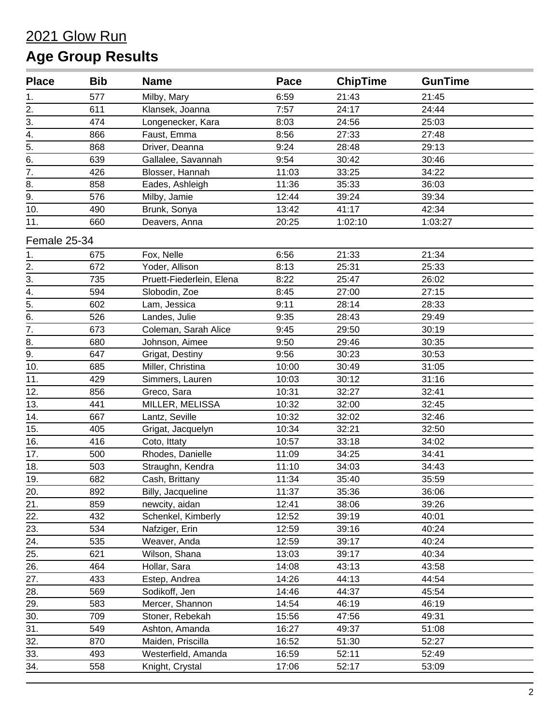| <b>Place</b>     | <b>Bib</b> | <b>Name</b>              | Pace  | <b>ChipTime</b> | <b>GunTime</b> |  |
|------------------|------------|--------------------------|-------|-----------------|----------------|--|
| 1.               | 577        | Milby, Mary              | 6:59  | 21:43           | 21:45          |  |
|                  | 611        | Klansek, Joanna          | 7:57  | 24:17           | 24:44          |  |
| $\frac{2}{3}$ .  | 474        | Longenecker, Kara        | 8:03  | 24:56           | 25:03          |  |
| $\frac{4}{4}$    | 866        | Faust, Emma              | 8:56  | 27:33           | 27:48          |  |
|                  | 868        | Driver, Deanna           | 9:24  | 28:48           | 29:13          |  |
| $\overline{6}$ . | 639        | Gallalee, Savannah       | 9:54  | 30:42           | 30:46          |  |
| $\overline{7}$ . | 426        | Blosser, Hannah          | 11:03 | 33:25           | 34:22          |  |
| 8.               | 858        | Eades, Ashleigh          | 11:36 | 35:33           | 36:03          |  |
| 9.               | 576        | Milby, Jamie             | 12:44 | 39:24           | 39:34          |  |
| 10.              | 490        | Brunk, Sonya             | 13:42 | 41:17           | 42:34          |  |
| 11.              | 660        | Deavers, Anna            | 20:25 | 1:02:10         | 1:03:27        |  |
| Female 25-34     |            |                          |       |                 |                |  |
| 1.               | 675        | Fox, Nelle               | 6:56  | 21:33           | 21:34          |  |
| 2.               | 672        | Yoder, Allison           | 8:13  | 25:31           | 25:33          |  |
| 3.               | 735        | Pruett-Fiederlein, Elena | 8:22  | 25:47           | 26:02          |  |
| $\overline{4}$ . | 594        | Slobodin, Zoe            | 8:45  | 27:00           | 27:15          |  |
| $\frac{1}{5}$ .  | 602        | Lam, Jessica             | 9:11  | 28:14           | 28:33          |  |
|                  | 526        | Landes, Julie            | 9:35  | 28:43           | 29:49          |  |
| $\overline{7}$ . | 673        | Coleman, Sarah Alice     | 9:45  | 29:50           | 30:19          |  |
| 8.               | 680        | Johnson, Aimee           | 9:50  | 29:46           | 30:35          |  |
| 9.               | 647        | Grigat, Destiny          | 9:56  | 30:23           | 30:53          |  |
| 10.              | 685        | Miller, Christina        | 10:00 | 30:49           | 31:05          |  |
| 11.              | 429        | Simmers, Lauren          | 10:03 | 30:12           | 31:16          |  |
| 12.              | 856        | Greco, Sara              | 10:31 | 32:27           | 32:41          |  |
| 13.              | 441        | MILLER, MELISSA          | 10:32 | 32:00           | 32:45          |  |
| 14.              | 667        | Lantz, Seville           | 10:32 | 32:02           | 32:46          |  |
| 15.              | 405        | Grigat, Jacquelyn        | 10:34 | 32:21           | 32:50          |  |
| 16.              | 416        | Coto, Ittaty             | 10:57 | 33:18           | 34:02          |  |
| 17.              | 500        | Rhodes, Danielle         | 11:09 | 34:25           | 34:41          |  |
| 18.              | 503        | Straughn, Kendra         | 11:10 | 34:03           | 34:43          |  |
| 19.              | 682        | Cash, Brittany           | 11:34 | 35:40           | 35:59          |  |
| 20.              | 892        | Billy, Jacqueline        | 11:37 | 35:36           | 36:06          |  |
| 21.              | 859        | newcity, aidan           | 12:41 | 38:06           | 39:26          |  |
| 22.              | 432        | Schenkel, Kimberly       | 12:52 | 39:19           | 40:01          |  |
| 23.              | 534        | Nafziger, Erin           | 12:59 | 39:16           | 40:24          |  |
| 24.              | 535        | Weaver, Anda             | 12:59 | 39:17           | 40:24          |  |
| 25.              | 621        | Wilson, Shana            | 13:03 | 39:17           | 40:34          |  |
| 26.              | 464        | Hollar, Sara             | 14:08 | 43:13           | 43:58          |  |
| 27.              | 433        | Estep, Andrea            | 14:26 | 44:13           | 44:54          |  |
| 28.              | 569        | Sodikoff, Jen            | 14:46 | 44:37           | 45:54          |  |
| 29.              | 583        | Mercer, Shannon          | 14:54 | 46:19           | 46:19          |  |
| 30.              | 709        | Stoner, Rebekah          | 15:56 | 47:56           | 49:31          |  |
| 31.              | 549        | Ashton, Amanda           | 16:27 | 49:37           | 51:08          |  |
| 32.              | 870        | Maiden, Priscilla        | 16:52 | 51:30           | 52:27          |  |
| 33.              | 493        | Westerfield, Amanda      | 16:59 | 52:11           | 52:49          |  |
| 34.              | 558        | Knight, Crystal          | 17:06 | 52:17           | 53:09          |  |
|                  |            |                          |       |                 |                |  |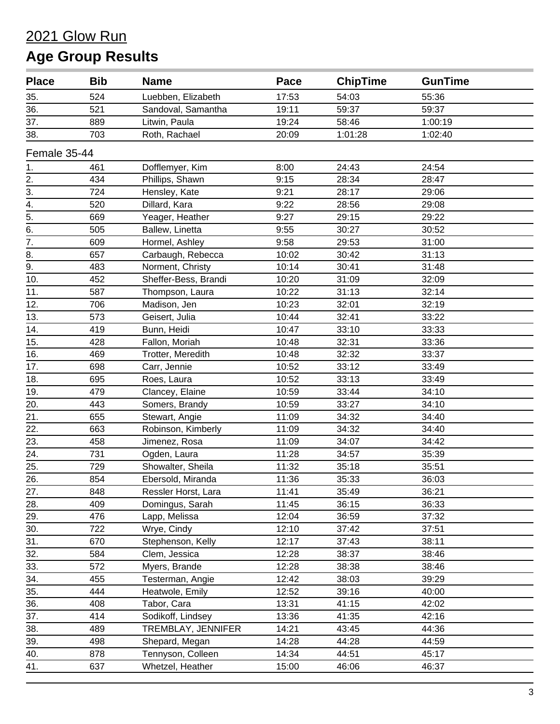| <b>Place</b>      | <b>Bib</b> | <b>Name</b>          | Pace  | <b>ChipTime</b> | <b>GunTime</b> |  |
|-------------------|------------|----------------------|-------|-----------------|----------------|--|
| 35.               | 524        | Luebben, Elizabeth   | 17:53 | 54:03           | 55:36          |  |
| 36.               | 521        | Sandoval, Samantha   | 19:11 | 59:37           | 59:37          |  |
| 37.               | 889        | Litwin, Paula        | 19:24 | 58:46           | 1:00:19        |  |
| 38.               | 703        | Roth, Rachael        | 20:09 | 1:01:28         | 1:02:40        |  |
| Female 35-44      |            |                      |       |                 |                |  |
| 1.                | 461        | Dofflemyer, Kim      | 8:00  | 24:43           | 24:54          |  |
|                   | 434        | Phillips, Shawn      | 9:15  | 28:34           | 28:47          |  |
| $\frac{2}{3}$     | 724        | Hensley, Kate        | 9:21  | 28:17           | 29:06          |  |
| $\overline{4}$ .  | 520        | Dillard, Kara        | 9:22  | 28:56           | 29:08          |  |
| $\overline{5}$ .  | 669        | Yeager, Heather      | 9:27  | 29:15           | 29:22          |  |
| $\overline{6}$ .  | 505        | Ballew, Linetta      | 9:55  | 30:27           | 30:52          |  |
| $\overline{7}$ .  | 609        | Hormel, Ashley       | 9:58  | 29:53           | 31:00          |  |
| 8.                | 657        | Carbaugh, Rebecca    | 10:02 | 30:42           | 31:13          |  |
| $\overline{9}$ .  | 483        | Norment, Christy     | 10:14 | 30:41           | 31:48          |  |
| 10.               | 452        | Sheffer-Bess, Brandi | 10:20 | 31:09           | 32:09          |  |
| 11.               | 587        | Thompson, Laura      | 10:22 | 31:13           | 32:14          |  |
| 12.               | 706        | Madison, Jen         | 10:23 | 32:01           | 32:19          |  |
| 13.               | 573        | Geisert, Julia       | 10:44 | 32:41           | 33:22          |  |
| 14.               | 419        | Bunn, Heidi          | 10:47 | 33:10           | 33:33          |  |
| 15.               | 428        | Fallon, Moriah       | 10:48 | 32:31           | 33:36          |  |
| 16.               | 469        | Trotter, Meredith    | 10:48 | 32:32           | 33:37          |  |
| 17.               | 698        | Carr, Jennie         | 10:52 | 33:12           | 33:49          |  |
| 18.               | 695        | Roes, Laura          | 10:52 | 33:13           | 33:49          |  |
| 19.               | 479        | Clancey, Elaine      | 10:59 | 33:44           | 34:10          |  |
| 20.               | 443        | Somers, Brandy       | 10:59 | 33:27           | 34:10          |  |
| $\overline{21}$ . | 655        | Stewart, Angie       | 11:09 | 34:32           | 34:40          |  |
| 22.               | 663        | Robinson, Kimberly   | 11:09 | 34:32           | 34:40          |  |
| 23.               | 458        | Jimenez, Rosa        | 11:09 | 34:07           | 34:42          |  |
| $\overline{24}$ . | 731        | Ogden, Laura         | 11:28 | 34:57           | 35:39          |  |
| 25.               | 729        | Showalter, Sheila    | 11:32 | 35:18           | 35:51          |  |
| 26.               | 854        | Ebersold, Miranda    | 11:36 | 35:33           | 36:03          |  |
| 27.               | 848        | Ressler Horst, Lara  | 11:41 | 35:49           | 36:21          |  |
| 28.               | 409        | Domingus, Sarah      | 11:45 | 36:15           | 36:33          |  |
| 29.               | 476        | Lapp, Melissa        | 12:04 | 36:59           | 37:32          |  |
| 30.               | 722        | Wrye, Cindy          | 12:10 | 37:42           | 37:51          |  |
| 31.               | 670        | Stephenson, Kelly    | 12:17 | 37:43           | 38:11          |  |
| 32.               | 584        | Clem, Jessica        | 12:28 | 38:37           | 38:46          |  |
| 33.               | 572        | Myers, Brande        | 12:28 | 38:38           | 38:46          |  |
| 34.               | 455        | Testerman, Angie     | 12:42 | 38:03           | 39:29          |  |
| 35.               | 444        | Heatwole, Emily      | 12:52 | 39:16           | 40:00          |  |
| 36.               | 408        | Tabor, Cara          | 13:31 | 41:15           | 42:02          |  |
| 37.               | 414        | Sodikoff, Lindsey    | 13:36 | 41:35           | 42:16          |  |
| 38.               | 489        | TREMBLAY, JENNIFER   | 14:21 | 43:45           | 44:36          |  |
| 39.               | 498        | Shepard, Megan       | 14:28 | 44:28           | 44:59          |  |
| 40.               | 878        | Tennyson, Colleen    | 14:34 | 44:51           | 45:17          |  |
| 41.               | 637        | Whetzel, Heather     | 15:00 | 46:06           | 46:37          |  |
|                   |            |                      |       |                 |                |  |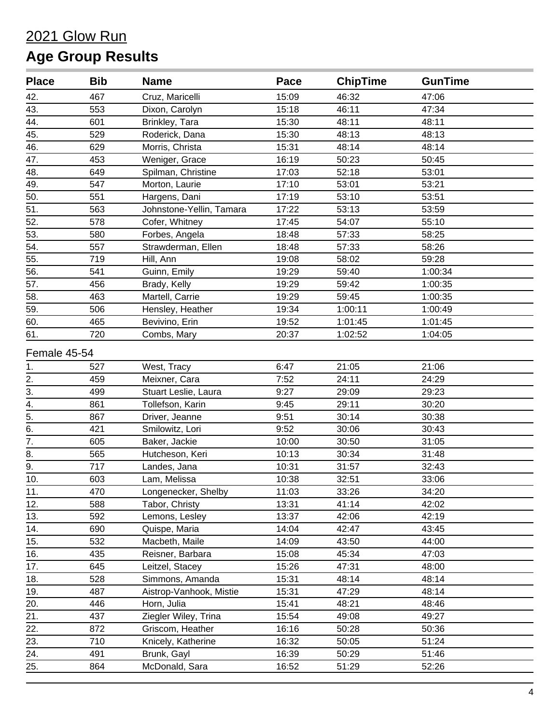| <b>Place</b>     | <b>Bib</b> | <b>Name</b>              | Pace  | <b>ChipTime</b> | <b>GunTime</b> |  |
|------------------|------------|--------------------------|-------|-----------------|----------------|--|
| 42.              | 467        | Cruz, Maricelli          | 15:09 | 46:32           | 47:06          |  |
| 43.              | 553        | Dixon, Carolyn           | 15:18 | 46:11           | 47:34          |  |
| 44.              | 601        | Brinkley, Tara           | 15:30 | 48:11           | 48:11          |  |
| 45.              | 529        | Roderick, Dana           | 15:30 | 48:13           | 48:13          |  |
| 46.              | 629        | Morris, Christa          | 15:31 | 48:14           | 48:14          |  |
| 47.              | 453        | Weniger, Grace           | 16:19 | 50:23           | 50:45          |  |
| 48.              | 649        | Spilman, Christine       | 17:03 | 52:18           | 53:01          |  |
| 49.              | 547        | Morton, Laurie           | 17:10 | 53:01           | 53:21          |  |
| 50.              | 551        | Hargens, Dani            | 17:19 | 53:10           | 53:51          |  |
| $\overline{51}$  | 563        | Johnstone-Yellin, Tamara | 17:22 | 53:13           | 53:59          |  |
| 52.              | 578        | Cofer, Whitney           | 17:45 | 54:07           | 55:10          |  |
| 53.              | 580        | Forbes, Angela           | 18:48 | 57:33           | 58:25          |  |
| 54.              | 557        | Strawderman, Ellen       | 18:48 | 57:33           | 58:26          |  |
| 55.              | 719        | Hill, Ann                | 19:08 | 58:02           | 59:28          |  |
| 56.              | 541        | Guinn, Emily             | 19:29 | 59:40           | 1:00:34        |  |
| 57.              | 456        | Brady, Kelly             | 19:29 | 59:42           | 1:00:35        |  |
| 58.              | 463        | Martell, Carrie          | 19:29 | 59:45           | 1:00:35        |  |
| 59.              | 506        | Hensley, Heather         | 19:34 | 1:00:11         | 1:00:49        |  |
| 60.              | 465        | Bevivino, Erin           | 19:52 | 1:01:45         | 1:01:45        |  |
| 61.              | 720        | Combs, Mary              | 20:37 | 1:02:52         | 1:04:05        |  |
| Female 45-54     |            |                          |       |                 |                |  |
| 1.               | 527        | West, Tracy              | 6:47  | 21:05           | 21:06          |  |
| $\frac{2}{3}$ .  | 459        | Meixner, Cara            | 7:52  | 24:11           | 24:29          |  |
|                  | 499        | Stuart Leslie, Laura     | 9:27  | 29:09           | 29:23          |  |
| $\overline{4}$ . | 861        | Tollefson, Karin         | 9:45  | 29:11           | 30:20          |  |
| $\overline{5}$ . | 867        | Driver, Jeanne           | 9:51  | 30:14           | 30:38          |  |
| $\overline{6}$ . | 421        | Smilowitz, Lori          | 9:52  | 30:06           | 30:43          |  |
| $\overline{7}$ . | 605        | Baker, Jackie            | 10:00 | 30:50           | 31:05          |  |
| 8.               | 565        | Hutcheson, Keri          | 10:13 | 30:34           | 31:48          |  |
| $\overline{9}$ . | 717        | Landes, Jana             | 10:31 | 31:57           | 32:43          |  |
| 10.              | 603        | Lam, Melissa             | 10:38 | 32:51           | 33:06          |  |
| 11.              | 470        | Longenecker, Shelby      | 11:03 | 33:26           | 34:20          |  |
| 12.              | 588        | Tabor, Christy           | 13:31 | 41:14           | 42:02          |  |
| 13.              | 592        | Lemons, Lesley           | 13:37 | 42:06           | 42:19          |  |
| 14.              | 690        | Quispe, Maria            | 14:04 | 42:47           | 43:45          |  |
| 15.              | 532        | Macbeth, Maile           | 14:09 | 43:50           | 44:00          |  |
| 16.              | 435        | Reisner, Barbara         | 15:08 | 45:34           | 47:03          |  |
| 17.              | 645        | Leitzel, Stacey          | 15:26 | 47:31           | 48:00          |  |
| 18.              | 528        | Simmons, Amanda          | 15:31 | 48:14           | 48:14          |  |
| 19.              | 487        | Aistrop-Vanhook, Mistie  | 15:31 | 47:29           | 48:14          |  |
| 20.              | 446        | Horn, Julia              | 15:41 | 48:21           | 48:46          |  |
| 21.              | 437        | Ziegler Wiley, Trina     | 15:54 | 49:08           | 49:27          |  |
| 22.              | 872        | Griscom, Heather         | 16:16 | 50:28           | 50:36          |  |
| 23.              | 710        | Knicely, Katherine       | 16:32 | 50:05           | 51:24          |  |
| 24.              | 491        | Brunk, Gayl              | 16:39 | 50:29           | 51:46          |  |
| 25.              | 864        | McDonald, Sara           | 16:52 | 51:29           | 52:26          |  |
|                  |            |                          |       |                 |                |  |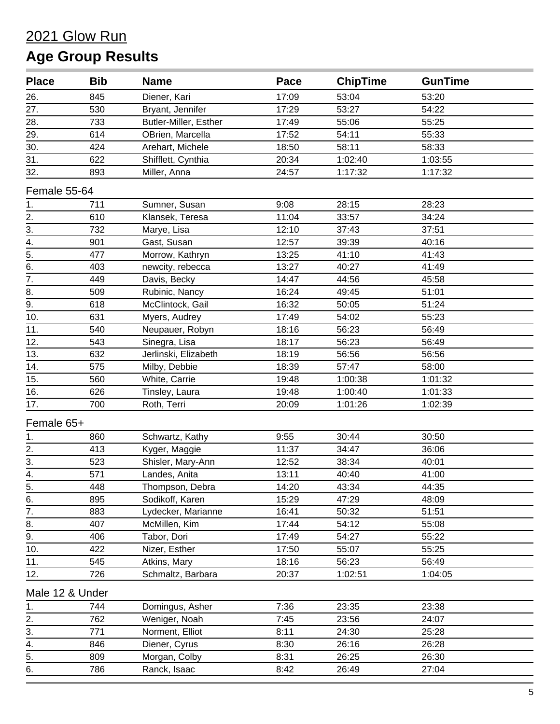| <b>Place</b>      | <b>Bib</b> | <b>Name</b>           | Pace  | <b>ChipTime</b> | <b>GunTime</b> |  |
|-------------------|------------|-----------------------|-------|-----------------|----------------|--|
| 26.               | 845        | Diener, Kari          | 17:09 | 53:04           | 53:20          |  |
| 27.               | 530        | Bryant, Jennifer      | 17:29 | 53:27           | 54:22          |  |
| 28.               | 733        | Butler-Miller, Esther | 17:49 | 55:06           | 55:25          |  |
| 29.               | 614        | OBrien, Marcella      | 17:52 | 54:11           | 55:33          |  |
| $\overline{30}$ . | 424        | Arehart, Michele      | 18:50 | 58:11           | 58:33          |  |
| $\overline{31}$ . | 622        | Shifflett, Cynthia    | 20:34 | 1:02:40         | 1:03:55        |  |
| 32.               | 893        | Miller, Anna          | 24:57 | 1:17:32         | 1:17:32        |  |
| Female 55-64      |            |                       |       |                 |                |  |
| 1.                | 711        | Sumner, Susan         | 9:08  | 28:15           | 28:23          |  |
| 2.                | 610        | Klansek, Teresa       | 11:04 | 33:57           | 34:24          |  |
| $\overline{3}$ .  | 732        | Marye, Lisa           | 12:10 | 37:43           | 37:51          |  |
| $\overline{4}$ .  | 901        | Gast, Susan           | 12:57 | 39:39           | 40:16          |  |
| $\overline{5}$ .  | 477        | Morrow, Kathryn       | 13:25 | 41:10           | 41:43          |  |
| 6.                | 403        | newcity, rebecca      | 13:27 | 40:27           | 41:49          |  |
| $\overline{7}$ .  | 449        | Davis, Becky          | 14:47 | 44:56           | 45:58          |  |
|                   | 509        | Rubinic, Nancy        | 16:24 | 49:45           | 51:01          |  |
| $\frac{8}{9}$ .   | 618        | McClintock, Gail      | 16:32 | 50:05           | 51:24          |  |
| 10.               | 631        | Myers, Audrey         | 17:49 | 54:02           | 55:23          |  |
| 11.               | 540        | Neupauer, Robyn       | 18:16 | 56:23           | 56:49          |  |
| 12.               | 543        | Sinegra, Lisa         | 18:17 | 56:23           | 56:49          |  |
| 13.               | 632        | Jerlinski, Elizabeth  | 18:19 | 56:56           | 56:56          |  |
| 14.               | 575        | Milby, Debbie         | 18:39 | 57:47           | 58:00          |  |
| 15.               | 560        | White, Carrie         | 19:48 | 1:00:38         | 1:01:32        |  |
| 16.               | 626        | Tinsley, Laura        | 19:48 | 1:00:40         | 1:01:33        |  |
| 17.               | 700        | Roth, Terri           | 20:09 | 1:01:26         | 1:02:39        |  |
| Female 65+        |            |                       |       |                 |                |  |
| 1.                | 860        | Schwartz, Kathy       | 9:55  | 30:44           | 30:50          |  |
| $\overline{2}$ .  | 413        | Kyger, Maggie         | 11:37 | 34:47           | 36:06          |  |
| $\frac{3}{2}$     | 523        | Shisler, Mary-Ann     | 12:52 | 38:34           | 40:01          |  |
| 4.                | 571        | Landes, Anita         | 13:11 | 40:40           | 41:00          |  |
|                   | 448        | Thompson, Debra       | 14:20 | 43:34           | 44:35          |  |
| $rac{5}{6}$       | 895        | Sodikoff, Karen       | 15:29 | 47:29           | 48:09          |  |
| $\overline{7}$ .  | 883        | Lydecker, Marianne    | 16:41 | 50:32           | 51:51          |  |
| 8.                | 407        | McMillen, Kim         | 17:44 | 54:12           | 55:08          |  |
| $\overline{9}$ .  | 406        | Tabor, Dori           | 17:49 | 54:27           | 55:22          |  |
| 10.               | 422        | Nizer, Esther         | 17:50 | 55:07           | 55:25          |  |
| 11.               | 545        | Atkins, Mary          | 18:16 | 56:23           | 56:49          |  |
| 12.               | 726        | Schmaltz, Barbara     | 20:37 | 1:02:51         | 1:04:05        |  |
| Male 12 & Under   |            |                       |       |                 |                |  |
| 1.                | 744        | Domingus, Asher       | 7:36  | 23:35           | 23:38          |  |
| 2.                | 762        | Weniger, Noah         | 7:45  | 23:56           | 24:07          |  |
| 3.                | 771        | Norment, Elliot       | 8:11  | 24:30           | 25:28          |  |
| 4.                | 846        | Diener, Cyrus         | 8:30  | 26:16           | 26:28          |  |
| $\overline{5}$ .  | 809        | Morgan, Colby         | 8:31  | 26:25           | 26:30          |  |
| 6.                | 786        | Ranck, Isaac          | 8:42  | 26:49           | 27:04          |  |
|                   |            |                       |       |                 |                |  |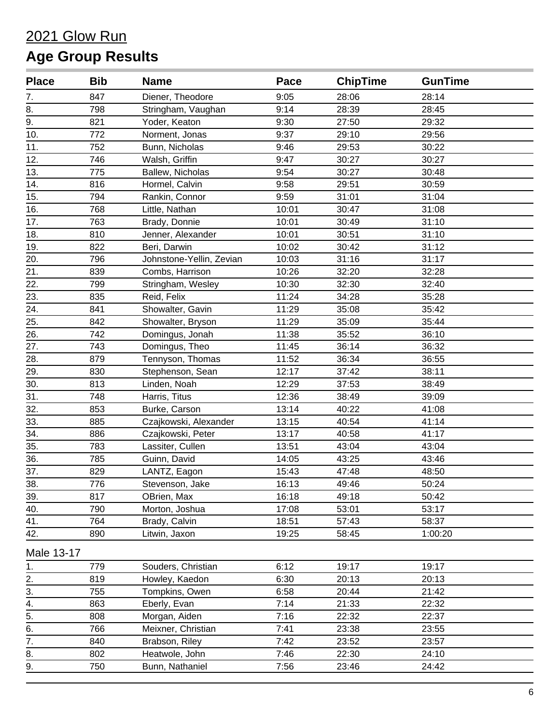| <b>Place</b>     | <b>Bib</b> | <b>Name</b>              | Pace  | <b>ChipTime</b> | <b>GunTime</b> |
|------------------|------------|--------------------------|-------|-----------------|----------------|
| 7.               | 847        | Diener, Theodore         | 9:05  | 28:06           | 28:14          |
| 8.               | 798        | Stringham, Vaughan       | 9:14  | 28:39           | 28:45          |
| 9.               | 821        | Yoder, Keaton            | 9:30  | 27:50           | 29:32          |
| 10.              | 772        | Norment, Jonas           | 9:37  | 29:10           | 29:56          |
| 11.              | 752        | Bunn, Nicholas           | 9:46  | 29:53           | 30:22          |
| 12.              | 746        | Walsh, Griffin           | 9:47  | 30:27           | 30:27          |
| 13.              | 775        | Ballew, Nicholas         | 9:54  | 30:27           | 30:48          |
| 14.              | 816        | Hormel, Calvin           | 9:58  | 29:51           | 30:59          |
| 15.              | 794        | Rankin, Connor           | 9:59  | 31:01           | 31:04          |
| 16.              | 768        | Little, Nathan           | 10:01 | 30:47           | 31:08          |
| 17.              | 763        | Brady, Donnie            | 10:01 | 30:49           | 31:10          |
| 18.              | 810        | Jenner, Alexander        | 10:01 | 30:51           | 31:10          |
| 19.              | 822        | Beri, Darwin             | 10:02 | 30:42           | 31:12          |
| 20.              | 796        | Johnstone-Yellin, Zevian | 10:03 | 31:16           | 31:17          |
| 21.              | 839        | Combs, Harrison          | 10:26 | 32:20           | 32:28          |
| 22.              | 799        | Stringham, Wesley        | 10:30 | 32:30           | 32:40          |
| 23.              | 835        | Reid, Felix              | 11:24 | 34:28           | 35:28          |
| 24.              | 841        | Showalter, Gavin         | 11:29 | 35:08           | 35:42          |
| 25.              | 842        | Showalter, Bryson        | 11:29 | 35:09           | 35:44          |
| 26.              | 742        | Domingus, Jonah          | 11:38 | 35:52           | 36:10          |
| 27.              | 743        | Domingus, Theo           | 11:45 | 36:14           | 36:32          |
| 28.              | 879        | Tennyson, Thomas         | 11:52 | 36:34           | 36:55          |
| 29.              | 830        | Stephenson, Sean         | 12:17 | 37:42           | 38:11          |
| 30.              | 813        | Linden, Noah             | 12:29 | 37:53           | 38:49          |
| 31.              | 748        | Harris, Titus            | 12:36 | 38:49           | 39:09          |
| 32.              | 853        | Burke, Carson            | 13:14 | 40:22           | 41:08          |
| 33.              | 885        | Czajkowski, Alexander    | 13:15 | 40:54           | 41:14          |
| 34.              | 886        | Czajkowski, Peter        | 13:17 | 40:58           | 41:17          |
| 35.              | 783        | Lassiter, Cullen         | 13:51 | 43:04           | 43:04          |
| 36.              | 785        | Guinn, David             | 14:05 | 43:25           | 43:46          |
| 37.              | 829        | LANTZ, Eagon             | 15:43 | 47:48           | 48:50          |
| 38.              | 776        | Stevenson, Jake          | 16:13 | 49:46           | 50:24          |
| 39.              | 817        | OBrien, Max              | 16:18 | 49:18           | 50:42          |
| 40.              | 790        | Morton, Joshua           | 17:08 | 53:01           | 53:17          |
| 41.              | 764        | Brady, Calvin            | 18:51 | 57:43           | 58:37          |
| 42.              | 890        | Litwin, Jaxon            | 19:25 | 58:45           | 1:00:20        |
| Male 13-17       |            |                          |       |                 |                |
| 1.               | 779        | Souders, Christian       | 6:12  | 19:17           | 19:17          |
| $\overline{2}$ . | 819        | Howley, Kaedon           | 6:30  | 20:13           | 20:13          |
| 3.               | 755        | Tompkins, Owen           | 6:58  | 20:44           | 21:42          |
| $\overline{4}$ . | 863        | Eberly, Evan             | 7:14  | 21:33           | 22:32          |
| 5.               | 808        | Morgan, Aiden            | 7:16  | 22:32           | 22:37          |
| 6.               | 766        | Meixner, Christian       | 7:41  | 23:38           | 23:55          |
| 7.               | 840        | Brabson, Riley           | 7:42  | 23:52           | 23:57          |
| 8.               | 802        | Heatwole, John           | 7:46  | 22:30           | 24:10          |
| $\overline{a}$ . | 750        | Bunn, Nathaniel          | 7:56  | 23:46           | 24:42          |
|                  |            |                          |       |                 |                |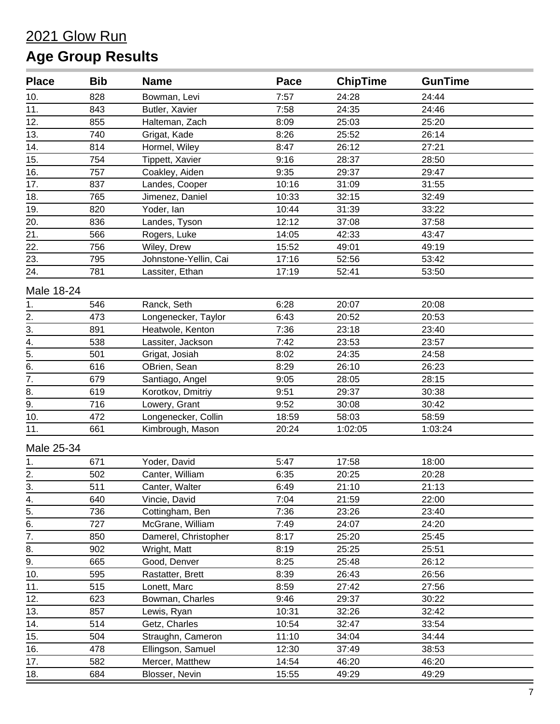| <b>Place</b>     | <b>Bib</b> | <b>Name</b>           | Pace  | <b>ChipTime</b> | <b>GunTime</b> |
|------------------|------------|-----------------------|-------|-----------------|----------------|
| 10.              | 828        | Bowman, Levi          | 7:57  | 24:28           | 24:44          |
| 11.              | 843        | Butler, Xavier        | 7:58  | 24:35           | 24:46          |
| 12.              | 855        | Halteman, Zach        | 8:09  | 25:03           | 25:20          |
| 13.              | 740        | Grigat, Kade          | 8:26  | 25:52           | 26:14          |
| 14.              | 814        | Hormel, Wiley         | 8:47  | 26:12           | 27:21          |
| 15.              | 754        | Tippett, Xavier       | 9:16  | 28:37           | 28:50          |
| 16.              | 757        | Coakley, Aiden        | 9:35  | 29:37           | 29:47          |
| 17.              | 837        | Landes, Cooper        | 10:16 | 31:09           | 31:55          |
| 18.              | 765        | Jimenez, Daniel       | 10:33 | 32:15           | 32:49          |
| 19.              | 820        | Yoder, lan            | 10:44 | 31:39           | 33:22          |
| 20.              | 836        | Landes, Tyson         | 12:12 | 37:08           | 37:58          |
| 21.              | 566        | Rogers, Luke          | 14:05 | 42:33           | 43:47          |
| 22.              | 756        | Wiley, Drew           | 15:52 | 49:01           | 49:19          |
| 23.              | 795        | Johnstone-Yellin, Cai | 17:16 | 52:56           | 53:42          |
| 24.              | 781        | Lassiter, Ethan       | 17:19 | 52:41           | 53:50          |
| Male 18-24       |            |                       |       |                 |                |
| 1.               | 546        | Ranck, Seth           | 6:28  | 20:07           | 20:08          |
|                  | 473        | Longenecker, Taylor   | 6:43  | 20:52           | 20:53          |
| $\frac{2}{3}$ .  | 891        | Heatwole, Kenton      | 7:36  | 23:18           | 23:40          |
| $\overline{4}$ . | 538        | Lassiter, Jackson     | 7:42  | 23:53           | 23:57          |
| $\overline{5}$ . | 501        | Grigat, Josiah        | 8:02  | 24:35           | 24:58          |
| $\overline{6}$ . | 616        | OBrien, Sean          | 8:29  | 26:10           | 26:23          |
| $\overline{7}$ . | 679        | Santiago, Angel       | 9:05  | 28:05           | 28:15          |
| 8.               | 619        | Korotkov, Dmitriy     | 9:51  | 29:37           | 30:38          |
| 9.               | 716        | Lowery, Grant         | 9:52  | 30:08           | 30:42          |
| 10.              | 472        | Longenecker, Collin   | 18:59 | 58:03           | 58:59          |
| 11.              | 661        | Kimbrough, Mason      | 20:24 | 1:02:05         | 1:03:24        |
| Male 25-34       |            |                       |       |                 |                |
| 1.               | 671        | Yoder, David          | 5:47  | 17:58           | 18:00          |
| 2.               | 502        | Canter, William       | 6:35  | 20:25           | 20:28          |
| $\overline{3}$ . | 511        | Canter, Walter        | 6:49  | 21:10           | 21:13          |
| 4.               | 640        | Vincie, David         | 7:04  | 21:59           | 22:00          |
| 5.               | 736        | Cottingham, Ben       | 7:36  | 23:26           | 23:40          |
| 6.               | 727        | McGrane, William      | 7:49  | 24:07           | 24:20          |
| $\overline{7}$ . | 850        | Damerel, Christopher  | 8:17  | 25:20           | 25:45          |
| 8.               | 902        | Wright, Matt          | 8:19  | 25:25           | 25:51          |
| $\overline{9}$ . | 665        | Good, Denver          | 8:25  | 25:48           | 26:12          |
| 10.              | 595        | Rastatter, Brett      | 8:39  | 26:43           | 26:56          |
| 11.              | 515        | Lonett, Marc          | 8:59  | 27:42           | 27:56          |
| 12.              | 623        | Bowman, Charles       | 9:46  | 29:37           | 30:22          |
| 13.              | 857        | Lewis, Ryan           | 10:31 | 32:26           | 32:42          |
| 14.              | 514        | Getz, Charles         | 10:54 | 32:47           | 33:54          |
| 15.              | 504        | Straughn, Cameron     | 11:10 | 34:04           | 34:44          |
| 16.              | 478        | Ellingson, Samuel     | 12:30 | 37:49           | 38:53          |
| 17.              | 582        | Mercer, Matthew       | 14:54 | 46:20           | 46:20          |
| 18.              | 684        | Blosser, Nevin        | 15:55 | 49:29           | 49:29          |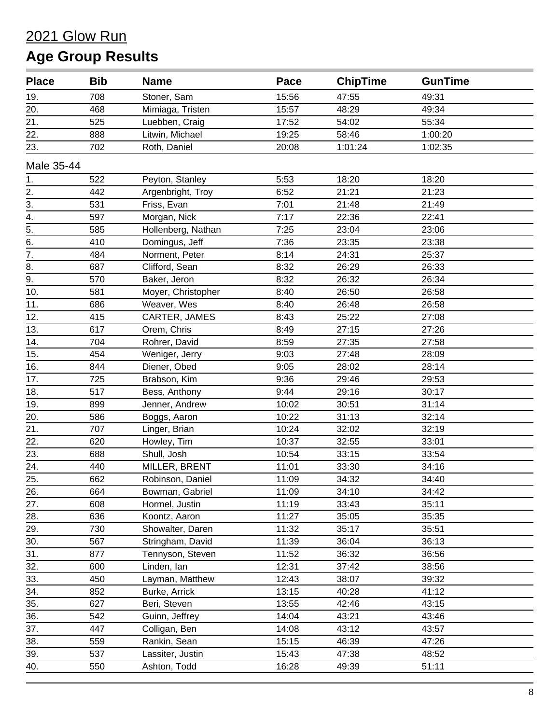| <b>Place</b>     | <b>Bib</b> | <b>Name</b>        | Pace  | <b>ChipTime</b> | <b>GunTime</b> |  |
|------------------|------------|--------------------|-------|-----------------|----------------|--|
| 19.              | 708        | Stoner, Sam        | 15:56 | 47:55           | 49:31          |  |
| 20.              | 468        | Mimiaga, Tristen   | 15:57 | 48:29           | 49:34          |  |
| 21.              | 525        | Luebben, Craig     | 17:52 | 54:02           | 55:34          |  |
| 22.              | 888        | Litwin, Michael    | 19:25 | 58:46           | 1:00:20        |  |
| 23.              | 702        | Roth, Daniel       | 20:08 | 1:01:24         | 1:02:35        |  |
| Male 35-44       |            |                    |       |                 |                |  |
| 1.               | 522        | Peyton, Stanley    | 5:53  | 18:20           | 18:20          |  |
| $\frac{2}{3}$ .  | 442        | Argenbright, Troy  | 6:52  | 21:21           | 21:23          |  |
|                  | 531        | Friss, Evan        | 7:01  | 21:48           | 21:49          |  |
| 4.               | 597        | Morgan, Nick       | 7:17  | 22:36           | 22:41          |  |
| $\frac{5}{6}$    | 585        | Hollenberg, Nathan | 7:25  | 23:04           | 23:06          |  |
|                  | 410        | Domingus, Jeff     | 7:36  | 23:35           | 23:38          |  |
| $\overline{7}$ . | 484        | Norment, Peter     | 8:14  | 24:31           | 25:37          |  |
| $\overline{8}$ . | 687        | Clifford, Sean     | 8:32  | 26:29           | 26:33          |  |
| $\overline{9}$ . | 570        | Baker, Jeron       | 8:32  | 26:32           | 26:34          |  |
| 10.              | 581        | Moyer, Christopher | 8:40  | 26:50           | 26:58          |  |
| 11.              | 686        | Weaver, Wes        | 8:40  | 26:48           | 26:58          |  |
| 12.              | 415        | CARTER, JAMES      | 8:43  | 25:22           | 27:08          |  |
| 13.              | 617        | Orem, Chris        | 8:49  | 27:15           | 27:26          |  |
| 14.              | 704        | Rohrer, David      | 8:59  | 27:35           | 27:58          |  |
| 15.              | 454        | Weniger, Jerry     | 9:03  | 27:48           | 28:09          |  |
| 16.              | 844        | Diener, Obed       | 9:05  | 28:02           | 28:14          |  |
| 17.              | 725        | Brabson, Kim       | 9:36  | 29:46           | 29:53          |  |
| 18.              | 517        | Bess, Anthony      | 9:44  | 29:16           | 30:17          |  |
| 19.              | 899        | Jenner, Andrew     | 10:02 | 30:51           | 31:14          |  |
| 20.              | 586        | Boggs, Aaron       | 10:22 | 31:13           | 32:14          |  |
| 21.              | 707        | Linger, Brian      | 10:24 | 32:02           | 32:19          |  |
| 22.              | 620        | Howley, Tim        | 10:37 | 32:55           | 33:01          |  |
| 23.              | 688        | Shull, Josh        | 10:54 | 33:15           | 33:54          |  |
| 24.              | 440        | MILLER, BRENT      | 11:01 | 33:30           | 34:16          |  |
| 25.              | 662        | Robinson, Daniel   | 11:09 | 34:32           | 34:40          |  |
| 26.              | 664        | Bowman, Gabriel    | 11:09 | 34:10           | 34:42          |  |
| 27.              | 608        | Hormel, Justin     | 11:19 | 33:43           | 35:11          |  |
| 28.              | 636        | Koontz, Aaron      | 11:27 | 35:05           | 35:35          |  |
| 29.              | 730        | Showalter, Daren   | 11:32 | 35:17           | 35:51          |  |
| 30.              | 567        | Stringham, David   | 11:39 | 36:04           | 36:13          |  |
| 31.              | 877        | Tennyson, Steven   | 11:52 | 36:32           | 36:56          |  |
| 32.              | 600        | Linden, lan        | 12:31 | 37:42           | 38:56          |  |
| 33.              | 450        | Layman, Matthew    | 12:43 | 38:07           | 39:32          |  |
| 34.              | 852        | Burke, Arrick      | 13:15 | 40:28           | 41:12          |  |
| 35.              | 627        | Beri, Steven       | 13:55 | 42:46           | 43:15          |  |
| 36.              | 542        | Guinn, Jeffrey     | 14:04 | 43:21           | 43:46          |  |
| 37.              | 447        | Colligan, Ben      | 14:08 | 43:12           | 43:57          |  |
| 38.              | 559        | Rankin, Sean       | 15:15 | 46:39           | 47:26          |  |
| 39.              | 537        | Lassiter, Justin   | 15:43 | 47:38           | 48:52          |  |
| 40.              | 550        | Ashton, Todd       | 16:28 | 49:39           | 51:11          |  |
|                  |            |                    |       |                 |                |  |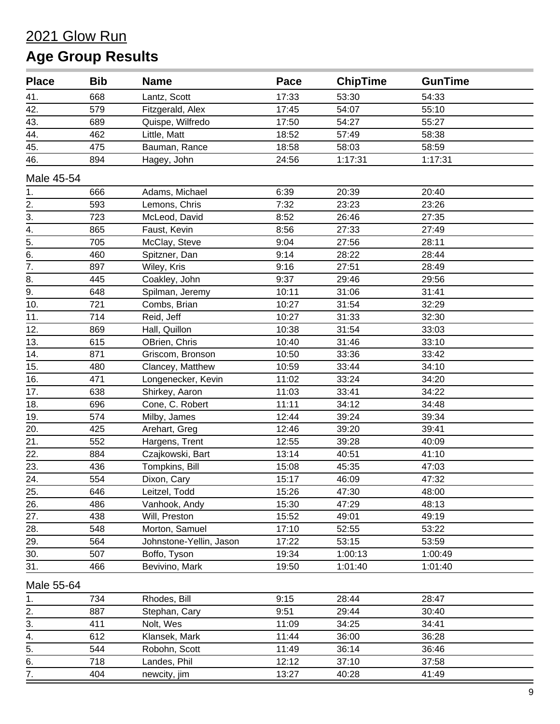| <b>Place</b>     | <b>Bib</b> | <b>Name</b>             | Pace  | <b>ChipTime</b> | <b>GunTime</b> |
|------------------|------------|-------------------------|-------|-----------------|----------------|
| 41.              | 668        | Lantz, Scott            | 17:33 | 53:30           | 54:33          |
| 42.              | 579        | Fitzgerald, Alex        | 17:45 | 54:07           | 55:10          |
| 43.              | 689        | Quispe, Wilfredo        | 17:50 | 54:27           | 55:27          |
| 44.              | 462        | Little, Matt            | 18:52 | 57:49           | 58:38          |
| 45.              | 475        | Bauman, Rance           | 18:58 | 58:03           | 58:59          |
| 46.              | 894        | Hagey, John             | 24:56 | 1:17:31         | 1:17:31        |
| Male 45-54       |            |                         |       |                 |                |
| 1.               | 666        | Adams, Michael          | 6:39  | 20:39           | 20:40          |
| 2.               | 593        | Lemons, Chris           | 7:32  | 23:23           | 23:26          |
| 3.               | 723        | McLeod, David           | 8:52  | 26:46           | 27:35          |
| $\overline{4}$ . | 865        | Faust, Kevin            | 8:56  | 27:33           | 27:49          |
| $\overline{5}$ . | 705        | McClay, Steve           | 9:04  | 27:56           | 28:11          |
| 6.               | 460        | Spitzner, Dan           | 9:14  | 28:22           | 28:44          |
| $\overline{7}$ . | 897        | Wiley, Kris             | 9:16  | 27:51           | 28:49          |
| $\overline{8}$ . | 445        | Coakley, John           | 9:37  | 29:46           | 29:56          |
| $\overline{9}$ . | 648        | Spilman, Jeremy         | 10:11 | 31:06           | 31:41          |
| 10.              | 721        | Combs, Brian            | 10:27 | 31:54           | 32:29          |
| 11.              | 714        | Reid, Jeff              | 10:27 | 31:33           | 32:30          |
| 12.              | 869        | Hall, Quillon           | 10:38 | 31:54           | 33:03          |
| 13.              | 615        | OBrien, Chris           | 10:40 | 31:46           | 33:10          |
| 14.              | 871        | Griscom, Bronson        | 10:50 | 33:36           | 33:42          |
| 15.              | 480        | Clancey, Matthew        | 10:59 | 33:44           | 34:10          |
| 16.              | 471        | Longenecker, Kevin      | 11:02 | 33:24           | 34:20          |
| 17.              | 638        | Shirkey, Aaron          | 11:03 | 33:41           | 34:22          |
| 18.              | 696        | Cone, C. Robert         | 11:11 | 34:12           | 34:48          |
| 19.              | 574        | Milby, James            | 12:44 | 39:24           | 39:34          |
| 20.              | 425        | Arehart, Greg           | 12:46 | 39:20           | 39:41          |
| 21.              | 552        | Hargens, Trent          | 12:55 | 39:28           | 40:09          |
| 22.              | 884        | Czajkowski, Bart        | 13:14 | 40:51           | 41:10          |
| 23.              | 436        | Tompkins, Bill          | 15:08 | 45:35           | 47:03          |
| 24.              | 554        | Dixon, Cary             | 15:17 | 46:09           | 47:32          |
| 25.              | 646        | Leitzel, Todd           | 15:26 | 47:30           | 48:00          |
| 26.              | 486        | Vanhook, Andy           | 15:30 | 47:29           | 48:13          |
| 27.              | 438        | Will, Preston           | 15:52 | 49:01           | 49:19          |
| 28.              | 548        | Morton, Samuel          | 17:10 | 52:55           | 53:22          |
| 29.              | 564        | Johnstone-Yellin, Jason | 17:22 | 53:15           | 53:59          |
| 30.              | 507        | Boffo, Tyson            | 19:34 | 1:00:13         | 1:00:49        |
| 31.              | 466        | Bevivino, Mark          | 19:50 | 1:01:40         | 1:01:40        |
| Male 55-64       |            |                         |       |                 |                |
| 1.               | 734        | Rhodes, Bill            | 9:15  | 28:44           | 28:47          |
| 2.               | 887        | Stephan, Cary           | 9:51  | 29:44           | 30:40          |
| 3.               | 411        | Nolt, Wes               | 11:09 | 34:25           | 34:41          |
| 4.               | 612        | Klansek, Mark           | 11:44 | 36:00           | 36:28          |
| 5.               | 544        | Robohn, Scott           | 11:49 | 36:14           | 36:46          |
| 6.               | 718        | Landes, Phil            | 12:12 | 37:10           | 37:58          |
| 7.               | 404        | newcity, jim            | 13:27 | 40:28           | 41:49          |